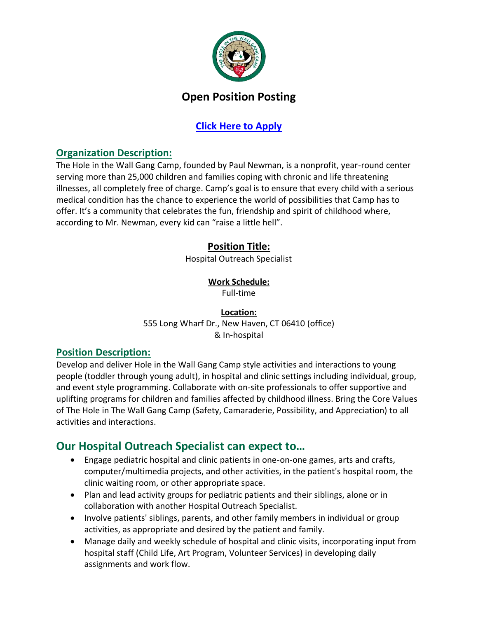

# **Open Position Posting**

## **[Click Here to Apply](https://www.tfaforms.com/4740309?tfa_4=Hospital%20Outreach%20SpecialistCNE&tfa_8475=SeriousFun&tfa_8497=5.16&tfa_10663=&PostingID=a2f3u000001MBqb)**

### **Organization Description:**

The Hole in the Wall Gang Camp, founded by Paul Newman, is a nonprofit, year-round center serving more than 25,000 children and families coping with chronic and life threatening illnesses, all completely free of charge. Camp's goal is to ensure that every child with a serious medical condition has the chance to experience the world of possibilities that Camp has to offer. It's a community that celebrates the fun, friendship and spirit of childhood where, according to Mr. Newman, every kid can "raise a little hell".

## **Position Title:**

Hospital Outreach Specialist

#### **Work Schedule:**

Full-time

#### **Location:** 555 Long Wharf Dr., New Haven, CT 06410 (office) & In-hospital

#### **Position Description:**

Develop and deliver Hole in the Wall Gang Camp style activities and interactions to young people (toddler through young adult), in hospital and clinic settings including individual, group, and event style programming. Collaborate with on-site professionals to offer supportive and uplifting programs for children and families affected by childhood illness. Bring the Core Values of The Hole in The Wall Gang Camp (Safety, Camaraderie, Possibility, and Appreciation) to all activities and interactions.

# **Our Hospital Outreach Specialist can expect to…**

- Engage pediatric hospital and clinic patients in one-on-one games, arts and crafts, computer/multimedia projects, and other activities, in the patient's hospital room, the clinic waiting room, or other appropriate space.
- Plan and lead activity groups for pediatric patients and their siblings, alone or in collaboration with another Hospital Outreach Specialist.
- Involve patients' siblings, parents, and other family members in individual or group activities, as appropriate and desired by the patient and family.
- Manage daily and weekly schedule of hospital and clinic visits, incorporating input from hospital staff (Child Life, Art Program, Volunteer Services) in developing daily assignments and work flow.